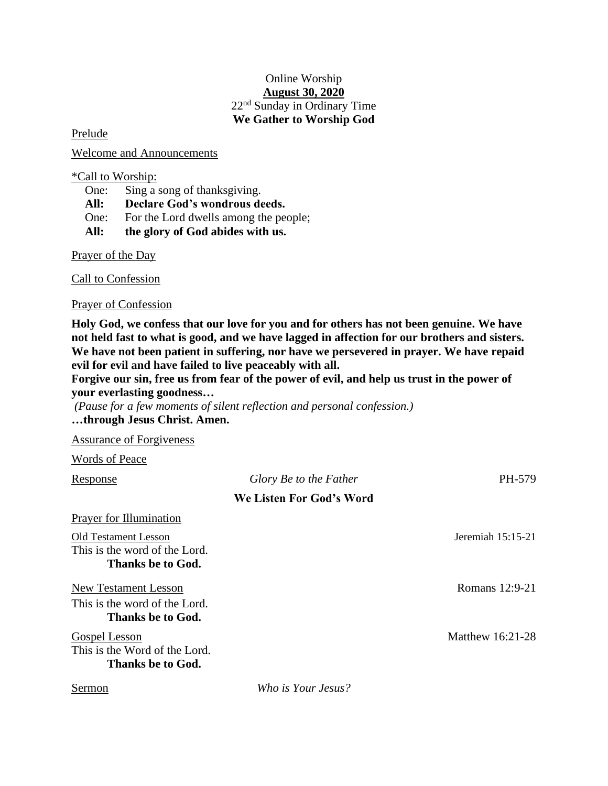## Online Worship **August 30, 2020** 22 nd Sunday in Ordinary Time **We Gather to Worship God**

Prelude

Welcome and Announcements

\*Call to Worship:

One: Sing a song of thanksgiving.

**All: Declare God's wondrous deeds.**

One: For the Lord dwells among the people;

**All: the glory of God abides with us.**

Prayer of the Day

Call to Confession

Prayer of Confession

**Holy God, we confess that our love for you and for others has not been genuine. We have not held fast to what is good, and we have lagged in affection for our brothers and sisters. We have not been patient in suffering, nor have we persevered in prayer. We have repaid evil for evil and have failed to live peaceably with all.** 

**Forgive our sin, free us from fear of the power of evil, and help us trust in the power of your everlasting goodness…**

*(Pause for a few moments of silent reflection and personal confession.)* **…through Jesus Christ. Amen.**

Assurance of Forgiveness

Words of Peace

| Response                                                                          | Glory Be to the Father   | PH-579              |
|-----------------------------------------------------------------------------------|--------------------------|---------------------|
|                                                                                   | We Listen For God's Word |                     |
| Prayer for Illumination                                                           |                          |                     |
| Old Testament Lesson<br>This is the word of the Lord.<br>Thanks be to God.        |                          | Jeremiah $15:15-21$ |
| <b>New Testament Lesson</b><br>This is the word of the Lord.<br>Thanks be to God. |                          | Romans 12:9-21      |
| <b>Gospel Lesson</b><br>This is the Word of the Lord.<br>Thanks be to God.        |                          | Matthew 16:21-28    |
| Sermon                                                                            | Who is Your Jesus?       |                     |